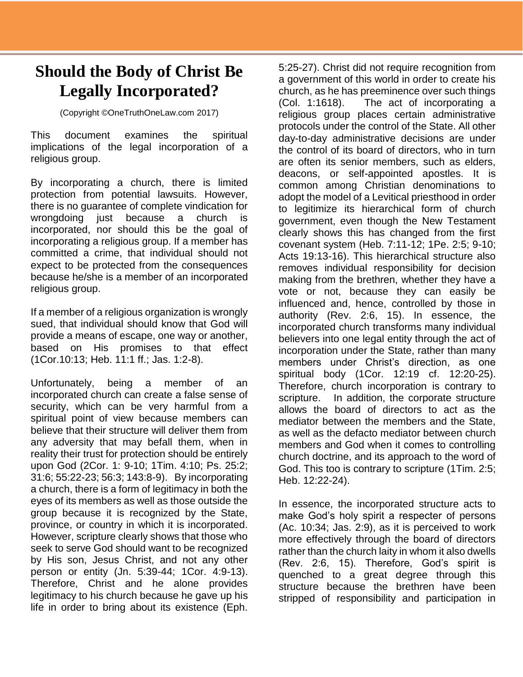## **Should the Body of Christ Be Legally Incorporated?**

(Copyright ©OneTruthOneLaw.com 2017)

This document examines the spiritual implications of the legal incorporation of a religious group.

By incorporating a church, there is limited protection from potential lawsuits. However, there is no guarantee of complete vindication for wrongdoing just because a church is incorporated, nor should this be the goal of incorporating a religious group. If a member has committed a crime, that individual should not expect to be protected from the consequences because he/she is a member of an incorporated religious group.

If a member of a religious organization is wrongly sued, that individual should know that God will provide a means of escape, one way or another, based on His promises to that effect (1Cor.10:13; Heb. 11:1 ff.; Jas. 1:2-8).

Unfortunately, being a member of an incorporated church can create a false sense of security, which can be very harmful from a spiritual point of view because members can believe that their structure will deliver them from any adversity that may befall them, when in reality their trust for protection should be entirely upon God (2Cor. 1: 9-10; 1Tim. 4:10; Ps. 25:2; 31:6; 55:22-23; 56:3; 143:8-9). By incorporating a church, there is a form of legitimacy in both the eyes of its members as well as those outside the group because it is recognized by the State, province, or country in which it is incorporated. However, scripture clearly shows that those who seek to serve God should want to be recognized by His son, Jesus Christ, and not any other person or entity (Jn. 5:39-44; 1Cor. 4:9-13). Therefore, Christ and he alone provides legitimacy to his church because he gave up his life in order to bring about its existence (Eph.

5:25-27). Christ did not require recognition from a government of this world in order to create his church, as he has preeminence over such things (Col. 1:1618). The act of incorporating a religious group places certain administrative protocols under the control of the State. All other day-to-day administrative decisions are under the control of its board of directors, who in turn are often its senior members, such as elders, deacons, or self-appointed apostles. It is common among Christian denominations to adopt the model of a Levitical priesthood in order to legitimize its hierarchical form of church government, even though the New Testament clearly shows this has changed from the first covenant system (Heb. 7:11-12; 1Pe. 2:5; 9-10; Acts 19:13-16). This hierarchical structure also removes individual responsibility for decision making from the brethren, whether they have a vote or not, because they can easily be influenced and, hence, controlled by those in authority (Rev. 2:6, 15). In essence, the incorporated church transforms many individual believers into one legal entity through the act of incorporation under the State, rather than many members under Christ's direction, as one spiritual body (1Cor. 12:19 cf. 12:20-25). Therefore, church incorporation is contrary to scripture. In addition, the corporate structure allows the board of directors to act as the mediator between the members and the State, as well as the defacto mediator between church members and God when it comes to controlling church doctrine, and its approach to the word of God. This too is contrary to scripture (1Tim. 2:5; Heb. 12:22-24).

In essence, the incorporated structure acts to make God's holy spirit a respecter of persons (Ac. 10:34; Jas. 2:9), as it is perceived to work more effectively through the board of directors rather than the church laity in whom it also dwells (Rev. 2:6, 15). Therefore, God's spirit is quenched to a great degree through this structure because the brethren have been stripped of responsibility and participation in